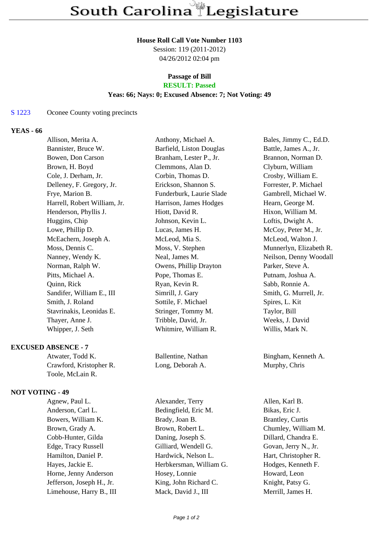#### **House Roll Call Vote Number 1103**

Session: 119 (2011-2012) 04/26/2012 02:04 pm

# **Passage of Bill**

## **RESULT: Passed**

### **Yeas: 66; Nays: 0; Excused Absence: 7; Not Voting: 49**

#### S 1223 Oconee County voting precincts

#### **YEAS - 66**

|               | Anthony, Michael A.                                                                                                                                                                                                                                                                                                                                                                                                                                                                                                                                                |                         | Bales, Jimmy C., Ed.D.                                                                                   |
|---------------|--------------------------------------------------------------------------------------------------------------------------------------------------------------------------------------------------------------------------------------------------------------------------------------------------------------------------------------------------------------------------------------------------------------------------------------------------------------------------------------------------------------------------------------------------------------------|-------------------------|----------------------------------------------------------------------------------------------------------|
|               |                                                                                                                                                                                                                                                                                                                                                                                                                                                                                                                                                                    |                         | Battle, James A., Jr.                                                                                    |
|               |                                                                                                                                                                                                                                                                                                                                                                                                                                                                                                                                                                    |                         | Brannon, Norman D.                                                                                       |
|               | Clemmons, Alan D.                                                                                                                                                                                                                                                                                                                                                                                                                                                                                                                                                  |                         | Clyburn, William                                                                                         |
|               | Corbin, Thomas D.                                                                                                                                                                                                                                                                                                                                                                                                                                                                                                                                                  |                         | Crosby, William E.                                                                                       |
|               | Erickson, Shannon S.                                                                                                                                                                                                                                                                                                                                                                                                                                                                                                                                               |                         | Forrester, P. Michael                                                                                    |
|               |                                                                                                                                                                                                                                                                                                                                                                                                                                                                                                                                                                    |                         | Gambrell, Michael W.                                                                                     |
|               |                                                                                                                                                                                                                                                                                                                                                                                                                                                                                                                                                                    |                         | Hearn, George M.                                                                                         |
|               | Hiott, David R.                                                                                                                                                                                                                                                                                                                                                                                                                                                                                                                                                    |                         | Hixon, William M.                                                                                        |
|               | Johnson, Kevin L.                                                                                                                                                                                                                                                                                                                                                                                                                                                                                                                                                  |                         | Loftis, Dwight A.                                                                                        |
|               | Lucas, James H.                                                                                                                                                                                                                                                                                                                                                                                                                                                                                                                                                    |                         | McCoy, Peter M., Jr.                                                                                     |
|               | McLeod, Mia S.                                                                                                                                                                                                                                                                                                                                                                                                                                                                                                                                                     |                         | McLeod, Walton J.                                                                                        |
|               | Moss, V. Stephen                                                                                                                                                                                                                                                                                                                                                                                                                                                                                                                                                   |                         | Munnerlyn, Elizabeth R.                                                                                  |
|               | Neal, James M.                                                                                                                                                                                                                                                                                                                                                                                                                                                                                                                                                     |                         | Neilson, Denny Woodall                                                                                   |
|               |                                                                                                                                                                                                                                                                                                                                                                                                                                                                                                                                                                    |                         | Parker, Steve A.                                                                                         |
|               | Pope, Thomas E.                                                                                                                                                                                                                                                                                                                                                                                                                                                                                                                                                    |                         | Putnam, Joshua A.                                                                                        |
|               | Ryan, Kevin R.                                                                                                                                                                                                                                                                                                                                                                                                                                                                                                                                                     |                         | Sabb, Ronnie A.                                                                                          |
|               | Simrill, J. Gary                                                                                                                                                                                                                                                                                                                                                                                                                                                                                                                                                   |                         | Smith, G. Murrell, Jr.                                                                                   |
|               | Sottile, F. Michael                                                                                                                                                                                                                                                                                                                                                                                                                                                                                                                                                |                         | Spires, L. Kit                                                                                           |
|               | Stringer, Tommy M.                                                                                                                                                                                                                                                                                                                                                                                                                                                                                                                                                 |                         | Taylor, Bill                                                                                             |
|               | Tribble, David, Jr.                                                                                                                                                                                                                                                                                                                                                                                                                                                                                                                                                |                         | Weeks, J. David                                                                                          |
|               | Whitmire, William R.                                                                                                                                                                                                                                                                                                                                                                                                                                                                                                                                               |                         | Willis, Mark N.                                                                                          |
|               |                                                                                                                                                                                                                                                                                                                                                                                                                                                                                                                                                                    |                         |                                                                                                          |
|               | Ballentine, Nathan                                                                                                                                                                                                                                                                                                                                                                                                                                                                                                                                                 |                         | Bingham, Kenneth A.                                                                                      |
|               | Long, Deborah A.                                                                                                                                                                                                                                                                                                                                                                                                                                                                                                                                                   |                         | Murphy, Chris                                                                                            |
|               |                                                                                                                                                                                                                                                                                                                                                                                                                                                                                                                                                                    |                         |                                                                                                          |
|               |                                                                                                                                                                                                                                                                                                                                                                                                                                                                                                                                                                    |                         |                                                                                                          |
| Huggins, Chip | Allison, Merita A.<br>Bannister, Bruce W.<br>Bowen, Don Carson<br>Brown, H. Boyd<br>Cole, J. Derham, Jr.<br>Delleney, F. Gregory, Jr.<br>Frye, Marion B.<br>Harrell, Robert William, Jr.<br>Henderson, Phyllis J.<br>Lowe, Phillip D.<br>McEachern, Joseph A.<br>Moss, Dennis C.<br>Nanney, Wendy K.<br>Norman, Ralph W.<br>Pitts, Michael A.<br>Sandifer, William E., III<br>Smith, J. Roland<br>Stavrinakis, Leonidas E.<br>Thayer, Anne J.<br>Whipper, J. Seth<br><b>EXCUSED ABSENCE - 7</b><br>Atwater, Todd K.<br>Crawford, Kristopher R.<br>Toole, McLain R. | Branham, Lester P., Jr. | Barfield, Liston Douglas<br>Funderburk, Laurie Slade<br>Harrison, James Hodges<br>Owens, Phillip Drayton |

Agnew, Paul L. Alexander, Terry Allen, Karl B. Anderson, Carl L. Bedingfield, Eric M. Bikas, Eric J. Bowers, William K. Brady, Joan B. Brantley, Curtis Brown, Grady A. Brown, Robert L. Chumley, William M. Cobb-Hunter, Gilda Daning, Joseph S. Dillard, Chandra E. Edge, Tracy Russell Gilliard, Wendell G. Govan, Jerry N., Jr. Hamilton, Daniel P. Hardwick, Nelson L. Hart, Christopher R. Hayes, Jackie E. **Herbkersman, William G.** Hodges, Kenneth F. Horne, Jenny Anderson Hosey, Lonnie Howard, Leon Jefferson, Joseph H., Jr. King, John Richard C. Knight, Patsy G. Limehouse, Harry B., III Mack, David J., III Merrill, James H.